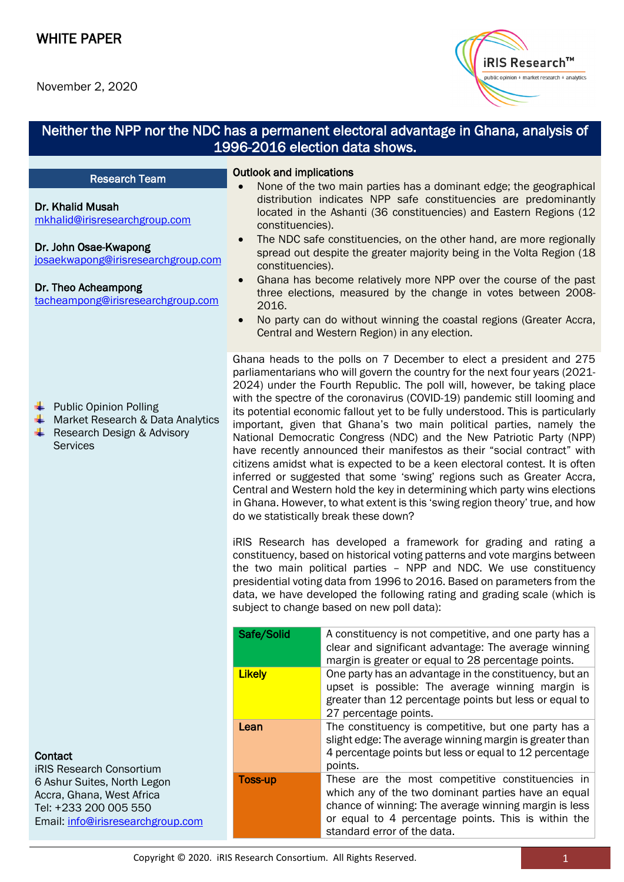Dr. Khalid Musah

Dr. John Osae-Kwapong

Dr. Theo Acheampong

**← Public Opinion Polling** 

**Services** 



### Neither the NPP nor the NDC has a permanent electoral advantage in Ghana, analysis of 1996-2016 election data shows.

#### l Research Team

[josaekwapong@irisresearchgroup.com](mailto:josaekwapong@irisresearchgroup.com)

[tacheampong@irisresearchgroup.com](mailto:tacheampong@irisresearchgroup.com)

Market Research & Data Analytics Research Design & Advisory

[mkhalid@irisresearchgroup.com](mailto:mkhalid@irisresearchgroup.com)

#### Outlook and implications

- None of the two main parties has a dominant edge; the geographical distribution indicates NPP safe constituencies are predominantly located in the Ashanti (36 constituencies) and Eastern Regions (12 constituencies).
- The NDC safe constituencies, on the other hand, are more regionally spread out despite the greater majority being in the Volta Region (18 constituencies).
- Ghana has become relatively more NPP over the course of the past three elections, measured by the change in votes between 2008- 2016.
- No party can do without winning the coastal regions (Greater Accra, Central and Western Region) in any election.

Ghana heads to the polls on 7 December to elect a president and 275 parliamentarians who will govern the country for the next four years (2021- 2024) under the Fourth Republic. The poll will, however, be taking place with the spectre of the coronavirus (COVID-19) pandemic still looming and its potential economic fallout yet to be fully understood. This is particularly important, given that Ghana's two main political parties, namely the National Democratic Congress (NDC) and the New Patriotic Party (NPP) have recently announced their manifestos as their "social contract" with citizens amidst what is expected to be a keen electoral contest. It is often inferred or suggested that some 'swing' regions such as Greater Accra, Central and Western hold the key in determining which party wins elections in Ghana. However, to what extent is this 'swing region theory' true, and how do we statistically break these down?

iRIS Research has developed a framework for grading and rating a constituency, based on historical voting patterns and vote margins between the two main political parties – NPP and NDC. We use constituency presidential voting data from 1996 to 2016. Based on parameters from the data, we have developed the following rating and grading scale (which is subject to change based on new poll data):

| Safe/Solid    | A constituency is not competitive, and one party has a<br>clear and significant advantage: The average winning<br>margin is greater or equal to 28 percentage points.                                                                                  |
|---------------|--------------------------------------------------------------------------------------------------------------------------------------------------------------------------------------------------------------------------------------------------------|
| <b>Likely</b> | One party has an advantage in the constituency, but an<br>upset is possible: The average winning margin is<br>greater than 12 percentage points but less or equal to<br>27 percentage points.                                                          |
| Lean          | The constituency is competitive, but one party has a<br>slight edge: The average winning margin is greater than<br>4 percentage points but less or equal to 12 percentage<br>points.                                                                   |
| Toss-up       | These are the most competitive constituencies in<br>which any of the two dominant parties have an equal<br>chance of winning: The average winning margin is less<br>or equal to 4 percentage points. This is within the<br>standard error of the data. |

### **Contact**

iRIS Research Consortium 6 Ashur Suites, North Legon Accra, Ghana, West Africa Tel: +233 200 005 550 Email: [info@irisresearchgroup.com](mailto:info@irisresearchgroup.com)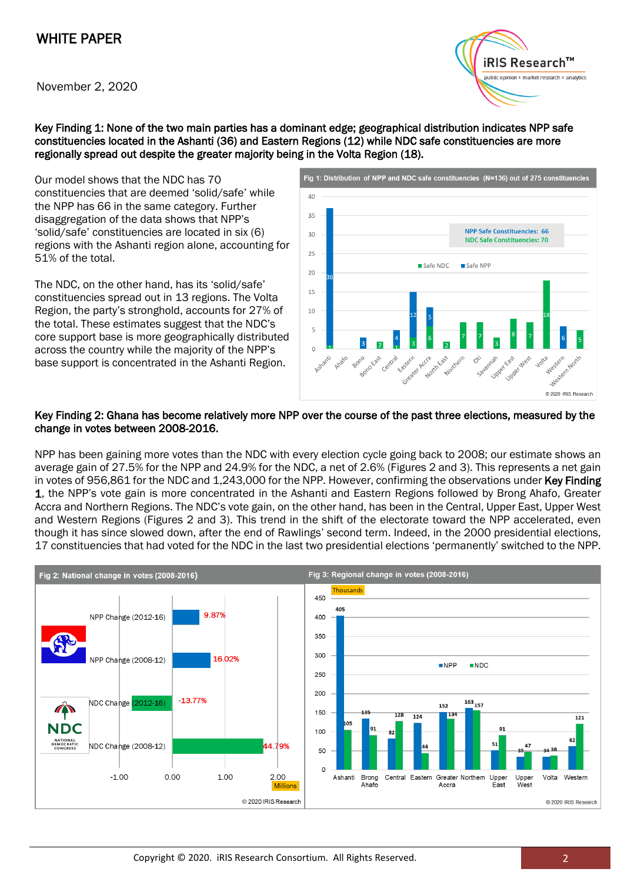# WHITE PAPER

November 2, 2020



Key Finding 1: None of the two main parties has a dominant edge; geographical distribution indicates NPP safe constituencies located in the Ashanti (36) and Eastern Regions (12) while NDC safe constituencies are more regionally spread out despite the greater majority being in the Volta Region (18).

Our model shows that the NDC has 70 constituencies that are deemed 'solid/safe' while the NPP has 66 in the same category. Further disaggregation of the data shows that NPP's 'solid/safe' constituencies are located in six (6) regions with the Ashanti region alone, accounting for 51% of the total.

The NDC, on the other hand, has its 'solid/safe' constituencies spread out in 13 regions. The Volta Region, the party's stronghold, accounts for 27% of the total. These estimates suggest that the NDC's core support base is more geographically distributed across the country while the majority of the NPP's base support is concentrated in the Ashanti Region.



#### Key Finding 2: Ghana has become relatively more NPP over the course of the past three elections, measured by the change in votes between 2008-2016.

NPP has been gaining more votes than the NDC with every election cycle going back to 2008; our estimate shows an average gain of 27.5% for the NPP and 24.9% for the NDC, a net of 2.6% (Figures 2 and 3). This represents a net gain in votes of 956,861 for the NDC and 1,243,000 for the NPP. However, confirming the observations under Key Finding 1, the NPP's vote gain is more concentrated in the Ashanti and Eastern Regions followed by Brong Ahafo, Greater Accra and Northern Regions. The NDC's vote gain, on the other hand, has been in the Central, Upper East, Upper West and Western Regions (Figures 2 and 3). This trend in the shift of the electorate toward the NPP accelerated, even though it has since slowed down, after the end of Rawlings' second term. Indeed, in the 2000 presidential elections, 17 constituencies that had voted for the NDC in the last two presidential elections 'permanently' switched to the NPP.

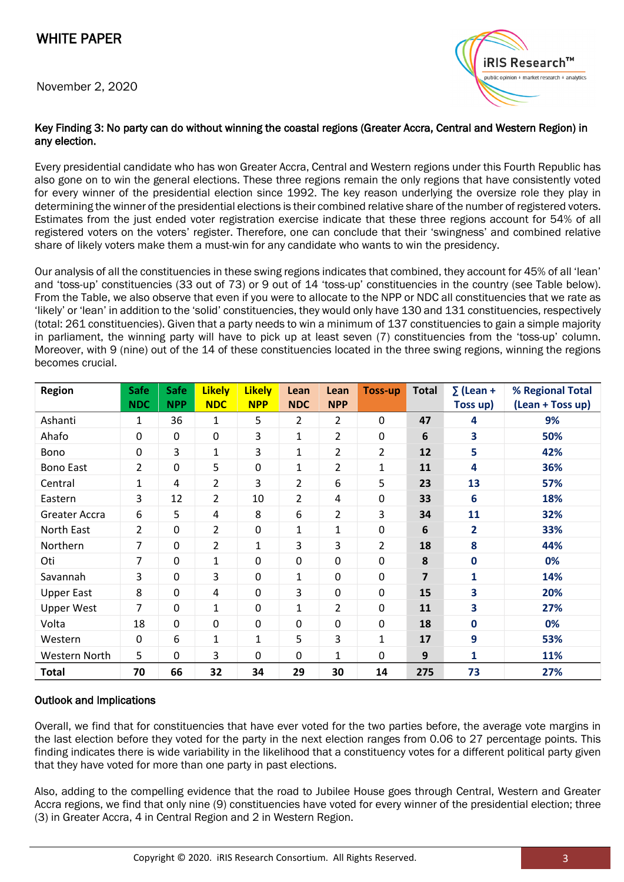November 2, 2020



#### Key Finding 3: No party can do without winning the coastal regions (Greater Accra, Central and Western Region) in any election.

Every presidential candidate who has won Greater Accra, Central and Western regions under this Fourth Republic has also gone on to win the general elections. These three regions remain the only regions that have consistently voted for every winner of the presidential election since 1992. The key reason underlying the oversize role they play in determining the winner of the presidential elections is their combined relative share of the number of registered voters. Estimates from the just ended voter registration exercise indicate that these three regions account for 54% of all registered voters on the voters' register. Therefore, one can conclude that their 'swingness' and combined relative share of likely voters make them a must-win for any candidate who wants to win the presidency.

Our analysis of all the constituencies in these swing regions indicates that combined, they account for 45% of all 'lean' and 'toss-up' constituencies (33 out of 73) or 9 out of 14 'toss-up' constituencies in the country (see Table below). From the Table, we also observe that even if you were to allocate to the NPP or NDC all constituencies that we rate as 'likely' or 'lean' in addition to the 'solid' constituencies, they would only have 130 and 131 constituencies, respectively (total: 261 constituencies). Given that a party needs to win a minimum of 137 constituencies to gain a simple majority in parliament, the winning party will have to pick up at least seven (7) constituencies from the 'toss-up' column. Moreover, with 9 (nine) out of the 14 of these constituencies located in the three swing regions, winning the regions becomes crucial.

| <b>Region</b>     | <b>Safe</b><br><b>NDC</b> | <b>Safe</b><br><b>NPP</b> | <b>Likely</b><br><b>NDC</b> | <b>Likely</b><br><b>NPP</b> | Lean<br><b>NDC</b> | Lean<br><b>NPP</b> | <b>Toss-up</b> | <b>Total</b> | $\Sigma$ (Lean +<br>Toss up) | % Regional Total<br>(Lean + Toss up) |
|-------------------|---------------------------|---------------------------|-----------------------------|-----------------------------|--------------------|--------------------|----------------|--------------|------------------------------|--------------------------------------|
| Ashanti           | $\mathbf{1}$              | 36                        | $\mathbf{1}$                | 5                           | $\overline{2}$     | $\overline{2}$     | 0              | 47           | 4                            | 9%                                   |
| Ahafo             | $\mathbf 0$               | 0                         | $\mathbf 0$                 | 3                           | $\mathbf{1}$       | $\overline{2}$     | 0              | 6            | 3                            | 50%                                  |
| Bono              | $\mathbf 0$               | 3                         | $\mathbf{1}$                | 3                           | $\mathbf{1}$       | $\overline{2}$     | $\overline{2}$ | 12           | 5                            | 42%                                  |
| <b>Bono East</b>  | $\overline{2}$            | 0                         | 5                           | 0                           | $\mathbf{1}$       | $\overline{2}$     | $\mathbf{1}$   | 11           | 4                            | 36%                                  |
| Central           | $\mathbf{1}$              | 4                         | 2                           | 3                           | $\overline{2}$     | 6                  | 5              | 23           | 13                           | 57%                                  |
| Eastern           | 3                         | 12                        | 2                           | 10                          | $\overline{2}$     | 4                  | 0              | 33           | 6                            | 18%                                  |
| Greater Accra     | 6                         | 5                         | 4                           | 8                           | 6                  | $\overline{2}$     | 3              | 34           | 11                           | 32%                                  |
| North East        | $\overline{2}$            | 0                         | 2                           | 0                           | $\mathbf{1}$       | 1                  | 0              | 6            | $\overline{\mathbf{2}}$      | 33%                                  |
| Northern          | 7                         | 0                         | 2                           | $\mathbf{1}$                | 3                  | 3                  | $\overline{2}$ | 18           | 8                            | 44%                                  |
| Oti               | 7                         | 0                         | 1                           | 0                           | 0                  | $\mathbf 0$        | 0              | 8            | $\mathbf 0$                  | 0%                                   |
| Savannah          | 3                         | 0                         | 3                           | $\mathbf 0$                 | $\mathbf{1}$       | $\mathbf 0$        | 0              | 7            | 1                            | 14%                                  |
| <b>Upper East</b> | 8                         | $\pmb{0}$                 | 4                           | 0                           | 3                  | $\mathbf 0$        | $\mathbf 0$    | 15           | 3                            | 20%                                  |
| <b>Upper West</b> | $\overline{7}$            | 0                         | 1                           | 0                           | $\mathbf{1}$       | $\overline{2}$     | 0              | 11           | 3                            | 27%                                  |
| Volta             | 18                        | 0                         | 0                           | 0                           | 0                  | 0                  | 0              | 18           | $\mathbf{0}$                 | 0%                                   |
| Western           | $\mathbf 0$               | 6                         | $\mathbf{1}$                | 1                           | 5                  | 3                  | 1              | 17           | 9                            | 53%                                  |
| Western North     | 5                         | 0                         | 3                           | 0                           | 0                  | $\mathbf{1}$       | 0              | 9            | $\mathbf{1}$                 | 11%                                  |
| <b>Total</b>      | 70                        | 66                        | 32                          | 34                          | 29                 | 30                 | 14             | 275          | 73                           | 27%                                  |

### Outlook and Implications

Overall, we find that for constituencies that have ever voted for the two parties before, the average vote margins in the last election before they voted for the party in the next election ranges from 0.06 to 27 percentage points. This finding indicates there is wide variability in the likelihood that a constituency votes for a different political party given that they have voted for more than one party in past elections.

Also, adding to the compelling evidence that the road to Jubilee House goes through Central, Western and Greater Accra regions, we find that only nine (9) constituencies have voted for every winner of the presidential election; three (3) in Greater Accra, 4 in Central Region and 2 in Western Region.